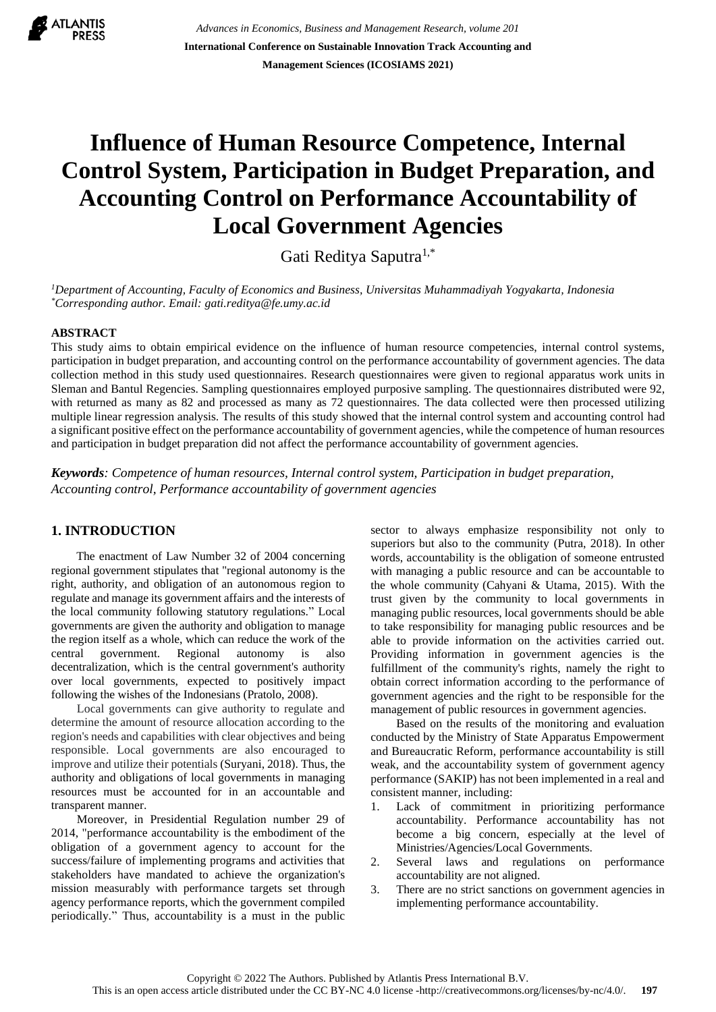

*Advances in Economics, Business and Management Research, volume 201* **International Conference on Sustainable Innovation Track Accounting and Management Sciences (ICOSIAMS 2021)**

# **Influence of Human Resource Competence, Internal Control System, Participation in Budget Preparation, and Accounting Control on Performance Accountability of Local Government Agencies**

Gati Reditya Saputra1,\*

*<sup>1</sup>Department of Accounting, Faculty of Economics and Business, Universitas Muhammadiyah Yogyakarta, Indonesia \*Corresponding author. Email: gati.reditya@fe.umy.ac.id*

#### **ABSTRACT**

This study aims to obtain empirical evidence on the influence of human resource competencies, internal control systems, participation in budget preparation, and accounting control on the performance accountability of government agencies. The data collection method in this study used questionnaires. Research questionnaires were given to regional apparatus work units in Sleman and Bantul Regencies. Sampling questionnaires employed purposive sampling. The questionnaires distributed were 92, with returned as many as 82 and processed as many as 72 questionnaires. The data collected were then processed utilizing multiple linear regression analysis. The results of this study showed that the internal control system and accounting control had a significant positive effect on the performance accountability of government agencies, while the competence of human resources and participation in budget preparation did not affect the performance accountability of government agencies.

*Keywords: Competence of human resources, Internal control system, Participation in budget preparation, Accounting control, Performance accountability of government agencies*

## **1. INTRODUCTION**

The enactment of Law Number 32 of 2004 concerning regional government stipulates that "regional autonomy is the right, authority, and obligation of an autonomous region to regulate and manage its government affairs and the interests of the local community following statutory regulations." Local governments are given the authority and obligation to manage the region itself as a whole, which can reduce the work of the central government. Regional autonomy is also decentralization, which is the central government's authority over local governments, expected to positively impact following the wishes of the Indonesians (Pratolo, 2008).

Local governments can give authority to regulate and determine the amount of resource allocation according to the region's needs and capabilities with clear objectives and being responsible. Local governments are also encouraged to improve and utilize their potentials (Suryani, 2018). Thus, the authority and obligations of local governments in managing resources must be accounted for in an accountable and transparent manner.

Moreover, in Presidential Regulation number 29 of 2014, "performance accountability is the embodiment of the obligation of a government agency to account for the success/failure of implementing programs and activities that stakeholders have mandated to achieve the organization's mission measurably with performance targets set through agency performance reports, which the government compiled periodically*.*" Thus, accountability is a must in the public

sector to always emphasize responsibility not only to superiors but also to the community (Putra, 2018). In other words, accountability is the obligation of someone entrusted with managing a public resource and can be accountable to the whole community (Cahyani & Utama, 2015). With the trust given by the community to local governments in managing public resources, local governments should be able to take responsibility for managing public resources and be able to provide information on the activities carried out. Providing information in government agencies is the fulfillment of the community's rights, namely the right to obtain correct information according to the performance of government agencies and the right to be responsible for the management of public resources in government agencies.

Based on the results of the monitoring and evaluation conducted by the Ministry of State Apparatus Empowerment and Bureaucratic Reform, performance accountability is still weak, and the accountability system of government agency performance (SAKIP) has not been implemented in a real and consistent manner, including:

- Lack of commitment in prioritizing performance accountability. Performance accountability has not become a big concern, especially at the level of Ministries/Agencies/Local Governments.
- 2. Several laws and regulations on performance accountability are not aligned.
- 3. There are no strict sanctions on government agencies in implementing performance accountability.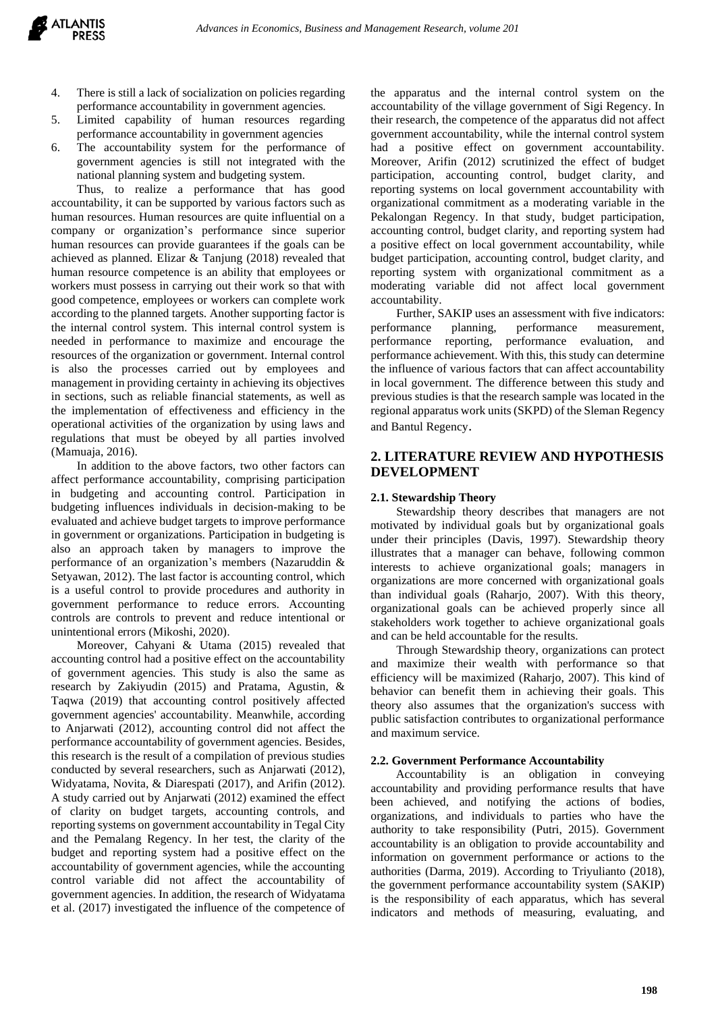- 4. There is still a lack of socialization on policies regarding performance accountability in government agencies.
- 5. Limited capability of human resources regarding performance accountability in government agencies
- 6. The accountability system for the performance of government agencies is still not integrated with the national planning system and budgeting system.

Thus, to realize a performance that has good accountability, it can be supported by various factors such as human resources. Human resources are quite influential on a company or organization's performance since superior human resources can provide guarantees if the goals can be achieved as planned. Elizar & Tanjung (2018) revealed that human resource competence is an ability that employees or workers must possess in carrying out their work so that with good competence, employees or workers can complete work according to the planned targets. Another supporting factor is the internal control system. This internal control system is needed in performance to maximize and encourage the resources of the organization or government. Internal control is also the processes carried out by employees and management in providing certainty in achieving its objectives in sections, such as reliable financial statements, as well as the implementation of effectiveness and efficiency in the operational activities of the organization by using laws and regulations that must be obeyed by all parties involved (Mamuaja, 2016).

In addition to the above factors, two other factors can affect performance accountability, comprising participation in budgeting and accounting control. Participation in budgeting influences individuals in decision-making to be evaluated and achieve budget targets to improve performance in government or organizations. Participation in budgeting is also an approach taken by managers to improve the performance of an organization's members (Nazaruddin & Setyawan, 2012). The last factor is accounting control, which is a useful control to provide procedures and authority in government performance to reduce errors. Accounting controls are controls to prevent and reduce intentional or unintentional errors (Mikoshi, 2020).

Moreover, Cahyani & Utama (2015) revealed that accounting control had a positive effect on the accountability of government agencies. This study is also the same as research by Zakiyudin (2015) and Pratama, Agustin, & Taqwa (2019) that accounting control positively affected government agencies' accountability. Meanwhile, according to Anjarwati (2012), accounting control did not affect the performance accountability of government agencies. Besides, this research is the result of a compilation of previous studies conducted by several researchers, such as Anjarwati (2012), Widyatama, Novita, & Diarespati (2017), and Arifin (2012). A study carried out by Anjarwati (2012) examined the effect of clarity on budget targets, accounting controls, and reporting systems on government accountability in Tegal City and the Pemalang Regency. In her test, the clarity of the budget and reporting system had a positive effect on the accountability of government agencies, while the accounting control variable did not affect the accountability of government agencies. In addition, the research of Widyatama et al. (2017) investigated the influence of the competence of the apparatus and the internal control system on the accountability of the village government of Sigi Regency. In their research, the competence of the apparatus did not affect government accountability, while the internal control system had a positive effect on government accountability. Moreover, Arifin (2012) scrutinized the effect of budget participation, accounting control, budget clarity, and reporting systems on local government accountability with organizational commitment as a moderating variable in the Pekalongan Regency. In that study, budget participation, accounting control, budget clarity, and reporting system had a positive effect on local government accountability, while budget participation, accounting control, budget clarity, and reporting system with organizational commitment as a moderating variable did not affect local government accountability.

Further, SAKIP uses an assessment with five indicators: performance planning, performance measurement, performance reporting, performance evaluation, and performance achievement. With this, this study can determine the influence of various factors that can affect accountability in local government. The difference between this study and previous studies is that the research sample was located in the regional apparatus work units (SKPD) of the Sleman Regency and Bantul Regency.

# **2. LITERATURE REVIEW AND HYPOTHESIS DEVELOPMENT**

## **2.1. Stewardship Theory**

Stewardship theory describes that managers are not motivated by individual goals but by organizational goals under their principles (Davis, 1997). Stewardship theory illustrates that a manager can behave, following common interests to achieve organizational goals; managers in organizations are more concerned with organizational goals than individual goals (Raharjo, 2007). With this theory, organizational goals can be achieved properly since all stakeholders work together to achieve organizational goals and can be held accountable for the results.

Through Stewardship theory, organizations can protect and maximize their wealth with performance so that efficiency will be maximized (Raharjo, 2007). This kind of behavior can benefit them in achieving their goals. This theory also assumes that the organization's success with public satisfaction contributes to organizational performance and maximum service.

#### **2.2. Government Performance Accountability**

Accountability is an obligation in conveying accountability and providing performance results that have been achieved, and notifying the actions of bodies, organizations, and individuals to parties who have the authority to take responsibility (Putri, 2015). Government accountability is an obligation to provide accountability and information on government performance or actions to the authorities (Darma, 2019). According to Triyulianto (2018), the government performance accountability system (SAKIP) is the responsibility of each apparatus, which has several indicators and methods of measuring, evaluating, and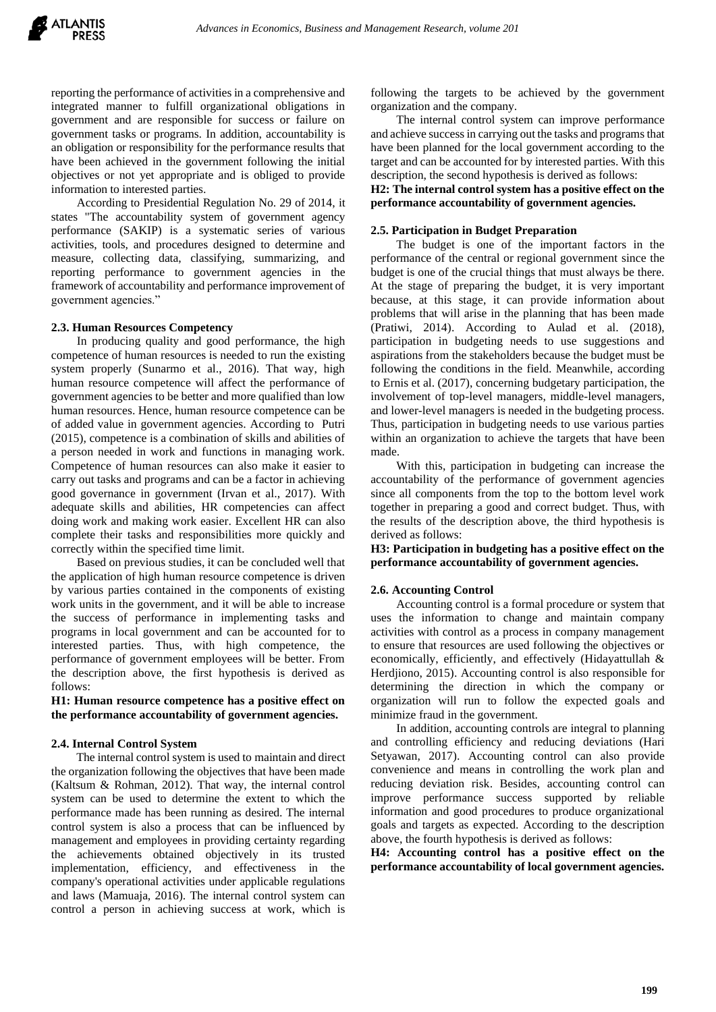reporting the performance of activities in a comprehensive and integrated manner to fulfill organizational obligations in government and are responsible for success or failure on government tasks or programs. In addition, accountability is an obligation or responsibility for the performance results that have been achieved in the government following the initial objectives or not yet appropriate and is obliged to provide information to interested parties.

According to Presidential Regulation No. 29 of 2014, it states "The accountability system of government agency performance (SAKIP) is a systematic series of various activities, tools, and procedures designed to determine and measure, collecting data, classifying, summarizing, and reporting performance to government agencies in the framework of accountability and performance improvement of government agencies."

#### **2.3. Human Resources Competency**

In producing quality and good performance, the high competence of human resources is needed to run the existing system properly (Sunarmo et al., 2016). That way, high human resource competence will affect the performance of government agencies to be better and more qualified than low human resources. Hence, human resource competence can be of added value in government agencies. According to Putri (2015), competence is a combination of skills and abilities of a person needed in work and functions in managing work. Competence of human resources can also make it easier to carry out tasks and programs and can be a factor in achieving good governance in government (Irvan et al., 2017). With adequate skills and abilities, HR competencies can affect doing work and making work easier. Excellent HR can also complete their tasks and responsibilities more quickly and correctly within the specified time limit.

Based on previous studies, it can be concluded well that the application of high human resource competence is driven by various parties contained in the components of existing work units in the government, and it will be able to increase the success of performance in implementing tasks and programs in local government and can be accounted for to interested parties. Thus, with high competence, the performance of government employees will be better. From the description above, the first hypothesis is derived as follows:

**H1: Human resource competence has a positive effect on the performance accountability of government agencies.**

#### **2.4. Internal Control System**

The internal control system is used to maintain and direct the organization following the objectives that have been made (Kaltsum & Rohman, 2012). That way, the internal control system can be used to determine the extent to which the performance made has been running as desired. The internal control system is also a process that can be influenced by management and employees in providing certainty regarding the achievements obtained objectively in its trusted implementation, efficiency, and effectiveness in the company's operational activities under applicable regulations and laws (Mamuaja, 2016). The internal control system can control a person in achieving success at work, which is

following the targets to be achieved by the government organization and the company.

The internal control system can improve performance and achieve success in carrying out the tasks and programs that have been planned for the local government according to the target and can be accounted for by interested parties. With this description, the second hypothesis is derived as follows:

**H2: The internal control system has a positive effect on the performance accountability of government agencies.**

## **2.5. Participation in Budget Preparation**

The budget is one of the important factors in the performance of the central or regional government since the budget is one of the crucial things that must always be there. At the stage of preparing the budget, it is very important because, at this stage, it can provide information about problems that will arise in the planning that has been made (Pratiwi, 2014). According to Aulad et al. (2018), participation in budgeting needs to use suggestions and aspirations from the stakeholders because the budget must be following the conditions in the field. Meanwhile, according to Ernis et al. (2017), concerning budgetary participation, the involvement of top-level managers, middle-level managers, and lower-level managers is needed in the budgeting process. Thus, participation in budgeting needs to use various parties within an organization to achieve the targets that have been made.

With this, participation in budgeting can increase the accountability of the performance of government agencies since all components from the top to the bottom level work together in preparing a good and correct budget. Thus, with the results of the description above, the third hypothesis is derived as follows:

**H3: Participation in budgeting has a positive effect on the performance accountability of government agencies.**

## **2.6. Accounting Control**

Accounting control is a formal procedure or system that uses the information to change and maintain company activities with control as a process in company management to ensure that resources are used following the objectives or economically, efficiently, and effectively (Hidayattullah & Herdjiono, 2015). Accounting control is also responsible for determining the direction in which the company or organization will run to follow the expected goals and minimize fraud in the government.

In addition, accounting controls are integral to planning and controlling efficiency and reducing deviations (Hari Setyawan, 2017). Accounting control can also provide convenience and means in controlling the work plan and reducing deviation risk. Besides, accounting control can improve performance success supported by reliable information and good procedures to produce organizational goals and targets as expected. According to the description above, the fourth hypothesis is derived as follows:

**H4: Accounting control has a positive effect on the performance accountability of local government agencies.**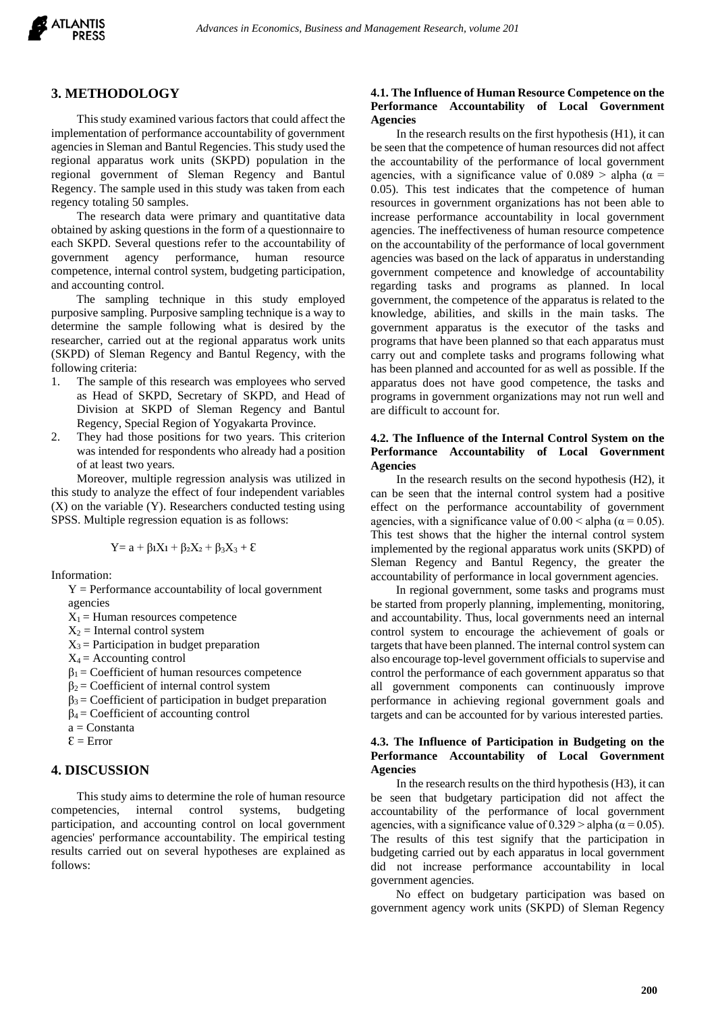

#### **3. METHODOLOGY**

This study examined various factors that could affect the implementation of performance accountability of government agencies in Sleman and Bantul Regencies. This study used the regional apparatus work units (SKPD) population in the regional government of Sleman Regency and Bantul Regency. The sample used in this study was taken from each regency totaling 50 samples.

The research data were primary and quantitative data obtained by asking questions in the form of a questionnaire to each SKPD. Several questions refer to the accountability of government agency performance, human resource competence, internal control system, budgeting participation, and accounting control.

The sampling technique in this study employed purposive sampling. Purposive sampling technique is a way to determine the sample following what is desired by the researcher, carried out at the regional apparatus work units (SKPD) of Sleman Regency and Bantul Regency, with the following criteria:

- 1. The sample of this research was employees who served as Head of SKPD, Secretary of SKPD, and Head of Division at SKPD of Sleman Regency and Bantul Regency, Special Region of Yogyakarta Province.
- 2. They had those positions for two years. This criterion was intended for respondents who already had a position of at least two years.

Moreover, multiple regression analysis was utilized in this study to analyze the effect of four independent variables (X) on the variable (Y). Researchers conducted testing using SPSS. Multiple regression equation is as follows:

$$
Y{=a}+\beta_1X_1+\beta_2X_2+\beta_3X_3+\epsilon
$$

Information:

- $Y =$  Performance accountability of local government agencies
- $X_1$  = Human resources competence
- $X_2$  = Internal control system
- $X_3$  = Participation in budget preparation
- $X_4$  = Accounting control
- $\beta_1$  = Coefficient of human resources competence
- $\beta_2$  = Coefficient of internal control system
- $\beta_3$  = Coefficient of participation in budget preparation
- $\beta_4$  = Coefficient of accounting control
- a = Constanta
- $\mathcal{E} = Error$

## **4. DISCUSSION**

This study aims to determine the role of human resource competencies, internal control systems, budgeting participation, and accounting control on local government agencies' performance accountability. The empirical testing results carried out on several hypotheses are explained as follows:

#### **4.1. The Influence of Human Resource Competence on the Performance Accountability of Local Government Agencies**

In the research results on the first hypothesis (H1), it can be seen that the competence of human resources did not affect the accountability of the performance of local government agencies, with a significance value of  $0.089 >$  alpha ( $\alpha =$ 0.05). This test indicates that the competence of human resources in government organizations has not been able to increase performance accountability in local government agencies. The ineffectiveness of human resource competence on the accountability of the performance of local government agencies was based on the lack of apparatus in understanding government competence and knowledge of accountability regarding tasks and programs as planned. In local government, the competence of the apparatus is related to the knowledge, abilities, and skills in the main tasks. The government apparatus is the executor of the tasks and programs that have been planned so that each apparatus must carry out and complete tasks and programs following what has been planned and accounted for as well as possible. If the apparatus does not have good competence, the tasks and programs in government organizations may not run well and are difficult to account for.

#### **4.2. The Influence of the Internal Control System on the Performance Accountability of Local Government Agencies**

In the research results on the second hypothesis (H2), it can be seen that the internal control system had a positive effect on the performance accountability of government agencies, with a significance value of  $0.00 \leq$  alpha ( $\alpha$  = 0.05). This test shows that the higher the internal control system implemented by the regional apparatus work units (SKPD) of Sleman Regency and Bantul Regency, the greater the accountability of performance in local government agencies.

In regional government, some tasks and programs must be started from properly planning, implementing, monitoring, and accountability. Thus, local governments need an internal control system to encourage the achievement of goals or targets that have been planned. The internal control system can also encourage top-level government officials to supervise and control the performance of each government apparatus so that all government components can continuously improve performance in achieving regional government goals and targets and can be accounted for by various interested parties.

#### **4.3. The Influence of Participation in Budgeting on the Performance Accountability of Local Government Agencies**

In the research results on the third hypothesis (H3), it can be seen that budgetary participation did not affect the accountability of the performance of local government agencies, with a significance value of  $0.329 >$  alpha ( $\alpha = 0.05$ ). The results of this test signify that the participation in budgeting carried out by each apparatus in local government did not increase performance accountability in local government agencies.

No effect on budgetary participation was based on government agency work units (SKPD) of Sleman Regency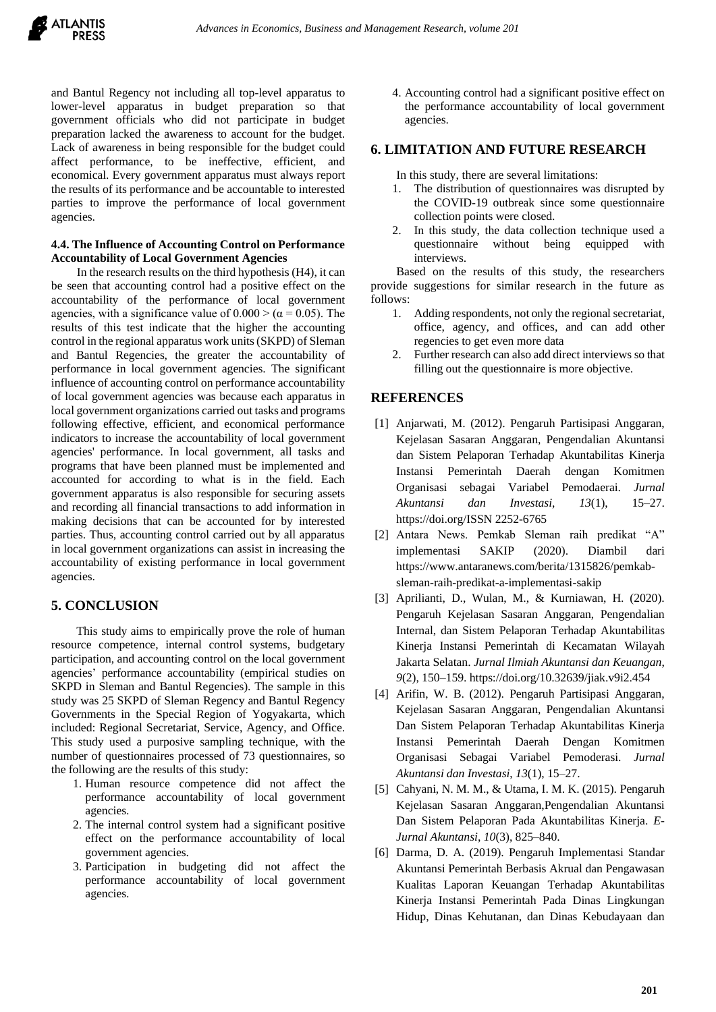and Bantul Regency not including all top-level apparatus to lower-level apparatus in budget preparation so that government officials who did not participate in budget preparation lacked the awareness to account for the budget. Lack of awareness in being responsible for the budget could affect performance, to be ineffective, efficient, and economical. Every government apparatus must always report the results of its performance and be accountable to interested parties to improve the performance of local government agencies.

#### **4.4. The Influence of Accounting Control on Performance Accountability of Local Government Agencies**

In the research results on the third hypothesis (H4), it can be seen that accounting control had a positive effect on the accountability of the performance of local government agencies, with a significance value of  $0.000 > (\alpha = 0.05)$ . The results of this test indicate that the higher the accounting control in the regional apparatus work units (SKPD) of Sleman and Bantul Regencies, the greater the accountability of performance in local government agencies. The significant influence of accounting control on performance accountability of local government agencies was because each apparatus in local government organizations carried out tasks and programs following effective, efficient, and economical performance indicators to increase the accountability of local government agencies' performance. In local government, all tasks and programs that have been planned must be implemented and accounted for according to what is in the field. Each government apparatus is also responsible for securing assets and recording all financial transactions to add information in making decisions that can be accounted for by interested parties. Thus, accounting control carried out by all apparatus in local government organizations can assist in increasing the accountability of existing performance in local government agencies.

# **5. CONCLUSION**

This study aims to empirically prove the role of human resource competence, internal control systems, budgetary participation, and accounting control on the local government agencies' performance accountability (empirical studies on SKPD in Sleman and Bantul Regencies). The sample in this study was 25 SKPD of Sleman Regency and Bantul Regency Governments in the Special Region of Yogyakarta, which included: Regional Secretariat, Service, Agency, and Office. This study used a purposive sampling technique, with the number of questionnaires processed of 73 questionnaires, so the following are the results of this study:

- 1. Human resource competence did not affect the performance accountability of local government agencies.
- 2. The internal control system had a significant positive effect on the performance accountability of local government agencies.
- 3. Participation in budgeting did not affect the performance accountability of local government agencies.

4. Accounting control had a significant positive effect on the performance accountability of local government agencies.

## **6. LIMITATION AND FUTURE RESEARCH**

In this study, there are several limitations:

- 1. The distribution of questionnaires was disrupted by the COVID-19 outbreak since some questionnaire collection points were closed.
- 2. In this study, the data collection technique used a questionnaire without being equipped with interviews.

Based on the results of this study, the researchers provide suggestions for similar research in the future as follows:

- 1. Adding respondents, not only the regional secretariat, office, agency, and offices, and can add other regencies to get even more data
- 2. Further research can also add direct interviews so that filling out the questionnaire is more objective.

# **REFERENCES**

- [1] Anjarwati, M. (2012). Pengaruh Partisipasi Anggaran, Kejelasan Sasaran Anggaran, Pengendalian Akuntansi dan Sistem Pelaporan Terhadap Akuntabilitas Kinerja Instansi Pemerintah Daerah dengan Komitmen Organisasi sebagai Variabel Pemodaerai. *Jurnal Akuntansi dan Investasi*, *13*(1), 15–27. https://doi.org/ISSN 2252-6765
- [2] Antara News. Pemkab Sleman raih predikat "A" implementasi SAKIP (2020). Diambil dari https://www.antaranews.com/berita/1315826/pemkabsleman-raih-predikat-a-implementasi-sakip
- [3] Aprilianti, D., Wulan, M., & Kurniawan, H. (2020). Pengaruh Kejelasan Sasaran Anggaran, Pengendalian Internal, dan Sistem Pelaporan Terhadap Akuntabilitas Kinerja Instansi Pemerintah di Kecamatan Wilayah Jakarta Selatan. *Jurnal Ilmiah Akuntansi dan Keuangan*, *9*(2), 150–159. https://doi.org/10.32639/jiak.v9i2.454
- [4] Arifin, W. B. (2012). Pengaruh Partisipasi Anggaran, Kejelasan Sasaran Anggaran, Pengendalian Akuntansi Dan Sistem Pelaporan Terhadap Akuntabilitas Kinerja Instansi Pemerintah Daerah Dengan Komitmen Organisasi Sebagai Variabel Pemoderasi. *Jurnal Akuntansi dan Investasi*, *13*(1), 15–27.
- [5] Cahyani, N. M. M., & Utama, I. M. K. (2015). Pengaruh Kejelasan Sasaran Anggaran,Pengendalian Akuntansi Dan Sistem Pelaporan Pada Akuntabilitas Kinerja. *E-Jurnal Akuntansi*, *10*(3), 825–840.
- [6] Darma, D. A. (2019). Pengaruh Implementasi Standar Akuntansi Pemerintah Berbasis Akrual dan Pengawasan Kualitas Laporan Keuangan Terhadap Akuntabilitas Kinerja Instansi Pemerintah Pada Dinas Lingkungan Hidup, Dinas Kehutanan, dan Dinas Kebudayaan dan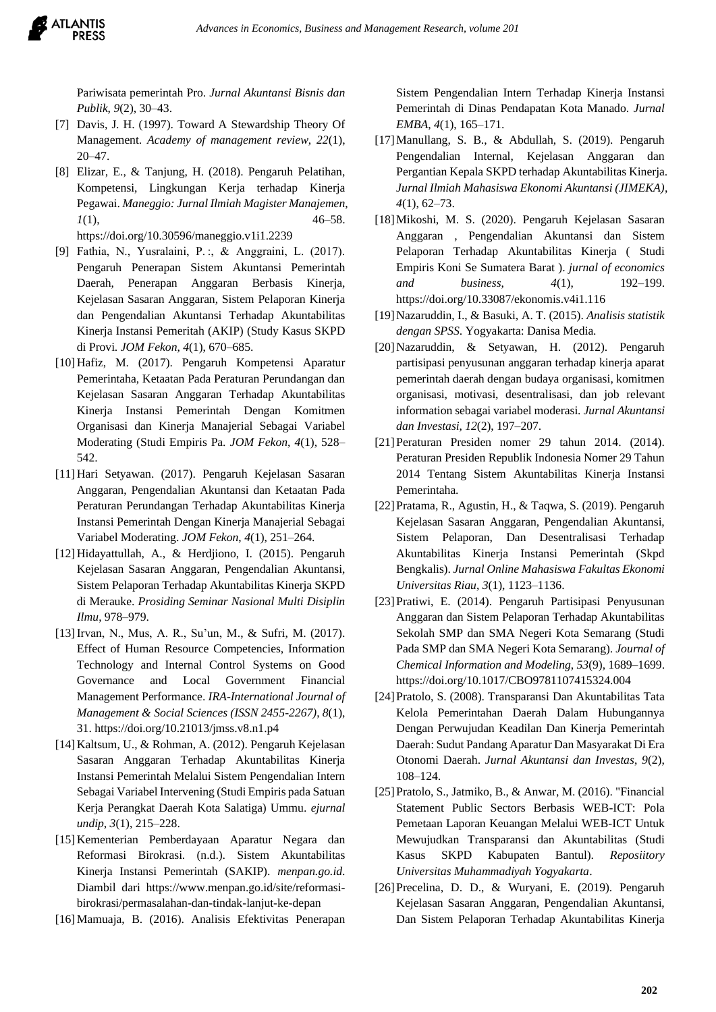

Pariwisata pemerintah Pro. *Jurnal Akuntansi Bisnis dan Publik*, *9*(2), 30–43.

- [7] Davis, J. H. (1997). Toward A Stewardship Theory Of Management. *Academy of management review*, *22*(1), 20–47.
- [8] Elizar, E., & Tanjung, H. (2018). Pengaruh Pelatihan, Kompetensi, Lingkungan Kerja terhadap Kinerja Pegawai. *Maneggio: Jurnal Ilmiah Magister Manajemen*, *1*(1), 46–58. https://doi.org/10.30596/maneggio.v1i1.2239
- [9] Fathia, N., Yusralaini, P. :, & Anggraini, L. (2017). Pengaruh Penerapan Sistem Akuntansi Pemerintah Daerah, Penerapan Anggaran Berbasis Kinerja, Kejelasan Sasaran Anggaran, Sistem Pelaporan Kinerja dan Pengendalian Akuntansi Terhadap Akuntabilitas Kinerja Instansi Pemeritah (AKIP) (Study Kasus SKPD di Provi. *JOM Fekon*, *4*(1), 670–685.
- [10]Hafiz, M. (2017). Pengaruh Kompetensi Aparatur Pemerintaha, Ketaatan Pada Peraturan Perundangan dan Kejelasan Sasaran Anggaran Terhadap Akuntabilitas Kinerja Instansi Pemerintah Dengan Komitmen Organisasi dan Kinerja Manajerial Sebagai Variabel Moderating (Studi Empiris Pa. *JOM Fekon*, *4*(1), 528– 542.
- [11]Hari Setyawan. (2017). Pengaruh Kejelasan Sasaran Anggaran, Pengendalian Akuntansi dan Ketaatan Pada Peraturan Perundangan Terhadap Akuntabilitas Kinerja Instansi Pemerintah Dengan Kinerja Manajerial Sebagai Variabel Moderating. *JOM Fekon*, *4*(1), 251–264.
- [12]Hidayattullah, A., & Herdjiono, I. (2015). Pengaruh Kejelasan Sasaran Anggaran, Pengendalian Akuntansi, Sistem Pelaporan Terhadap Akuntabilitas Kinerja SKPD di Merauke. *Prosiding Seminar Nasional Multi Disiplin Ilmu*, 978–979.
- [13]Irvan, N., Mus, A. R., Su'un, M., & Sufri, M. (2017). Effect of Human Resource Competencies, Information Technology and Internal Control Systems on Good Governance and Local Government Financial Management Performance. *IRA-International Journal of Management & Social Sciences (ISSN 2455-2267)*, *8*(1), 31. https://doi.org/10.21013/jmss.v8.n1.p4
- [14]Kaltsum, U., & Rohman, A. (2012). Pengaruh Kejelasan Sasaran Anggaran Terhadap Akuntabilitas Kinerja Instansi Pemerintah Melalui Sistem Pengendalian Intern Sebagai Variabel Intervening (Studi Empiris pada Satuan Kerja Perangkat Daerah Kota Salatiga) Ummu. *ejurnal undip*, *3*(1), 215–228.
- [15]Kementerian Pemberdayaan Aparatur Negara dan Reformasi Birokrasi. (n.d.). Sistem Akuntabilitas Kinerja Instansi Pemerintah (SAKIP). *menpan.go.id*. Diambil dari https://www.menpan.go.id/site/reformasibirokrasi/permasalahan-dan-tindak-lanjut-ke-depan
- [16]Mamuaja, B. (2016). Analisis Efektivitas Penerapan

Sistem Pengendalian Intern Terhadap Kinerja Instansi Pemerintah di Dinas Pendapatan Kota Manado. *Jurnal EMBA*, *4*(1), 165–171.

- [17]Manullang, S. B., & Abdullah, S. (2019). Pengaruh Pengendalian Internal, Kejelasan Anggaran dan Pergantian Kepala SKPD terhadap Akuntabilitas Kinerja. *Jurnal Ilmiah Mahasiswa Ekonomi Akuntansi (JIMEKA)*, *4*(1), 62–73.
- [18]Mikoshi, M. S. (2020). Pengaruh Kejelasan Sasaran Anggaran , Pengendalian Akuntansi dan Sistem Pelaporan Terhadap Akuntabilitas Kinerja ( Studi Empiris Koni Se Sumatera Barat ). *jurnal of economics and business*, *4*(1), 192–199. https://doi.org/10.33087/ekonomis.v4i1.116
- [19]Nazaruddin, I., & Basuki, A. T. (2015). *Analisis statistik dengan SPSS*. Yogyakarta: Danisa Media.
- [20]Nazaruddin, & Setyawan, H. (2012). Pengaruh partisipasi penyusunan anggaran terhadap kinerja aparat pemerintah daerah dengan budaya organisasi, komitmen organisasi, motivasi, desentralisasi, dan job relevant information sebagai variabel moderasi. *Jurnal Akuntansi dan Investasi*, *12*(2), 197–207.
- [21]Peraturan Presiden nomer 29 tahun 2014. (2014). Peraturan Presiden Republik Indonesia Nomer 29 Tahun 2014 Tentang Sistem Akuntabilitas Kinerja Instansi Pemerintaha.
- [22]Pratama, R., Agustin, H., & Taqwa, S. (2019). Pengaruh Kejelasan Sasaran Anggaran, Pengendalian Akuntansi, Sistem Pelaporan, Dan Desentralisasi Terhadap Akuntabilitas Kinerja Instansi Pemerintah (Skpd Bengkalis). *Jurnal Online Mahasiswa Fakultas Ekonomi Universitas Riau*, *3*(1), 1123–1136.
- [23]Pratiwi, E. (2014). Pengaruh Partisipasi Penyusunan Anggaran dan Sistem Pelaporan Terhadap Akuntabilitas Sekolah SMP dan SMA Negeri Kota Semarang (Studi Pada SMP dan SMA Negeri Kota Semarang). *Journal of Chemical Information and Modeling*, *53*(9), 1689–1699. https://doi.org/10.1017/CBO9781107415324.004
- [24]Pratolo, S. (2008). Transparansi Dan Akuntabilitas Tata Kelola Pemerintahan Daerah Dalam Hubungannya Dengan Perwujudan Keadilan Dan Kinerja Pemerintah Daerah: Sudut Pandang Aparatur Dan Masyarakat Di Era Otonomi Daerah. *Jurnal Akuntansi dan Investas*, *9*(2), 108–124.
- [25] Pratolo, S., Jatmiko, B., & Anwar, M. (2016). "Financial Statement Public Sectors Berbasis WEB-ICT: Pola Pemetaan Laporan Keuangan Melalui WEB-ICT Untuk Mewujudkan Transparansi dan Akuntabilitas (Studi Kasus SKPD Kabupaten Bantul). *Reposiitory Universitas Muhammadiyah Yogyakarta*.
- [26]Precelina, D. D., & Wuryani, E. (2019). Pengaruh Kejelasan Sasaran Anggaran, Pengendalian Akuntansi, Dan Sistem Pelaporan Terhadap Akuntabilitas Kinerja